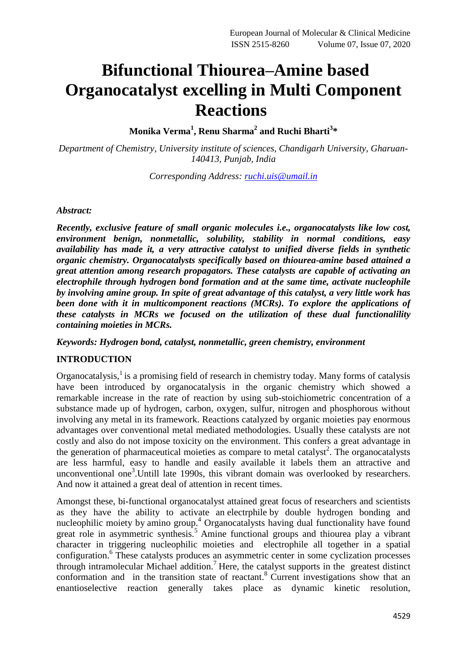# **Bifunctional Thiourea–Amine based Organocatalyst excelling in Multi Component Reactions**

**Monika Verma<sup>1</sup> , Renu Sharma<sup>2</sup> and Ruchi Bharti<sup>3</sup> \***

*Department of Chemistry, University institute of sciences, Chandigarh University, Gharuan-140413, Punjab, India*

*Corresponding Address: [ruchi.uis@umail.in](mailto:ruchi.uis@umail.in)*

# *Abstract:*

*Recently, exclusive feature of small organic molecules i.e., organocatalysts like low cost, environment benign, nonmetallic, solubility, stability in normal conditions, easy availability has made it, a very attractive catalyst to unified diverse fields in synthetic organic chemistry. Organocatalysts specifically based on thiourea-amine based attained a great attention among research propagators. These catalysts are capable of activating an electrophile through hydrogen bond formation and at the same time, activate nucleophile by involving amine group. In spite of great advantage of this catalyst, a very little work has been done with it in multicomponent reactions (MCRs). To explore the applications of these catalysts in MCRs we focused on the utilization of these dual functionalility containing moieties in MCRs.*

# *Keywords: Hydrogen bond, catalyst, nonmetallic, green chemistry, environment*

# **INTRODUCTION**

Organocatalysis, $<sup>1</sup>$  is a promising field of research in chemistry today. Many forms of catalysis</sup> have been introduced by organocatalysis in the organic chemistry which showed a remarkable increase in the rate of reaction by using sub-stoichiometric concentration of a substance made up of hydrogen, carbon, oxygen, sulfur, nitrogen and phosphorous without involving any metal in its framework. Reactions catalyzed by organic moieties pay enormous advantages over conventional metal mediated methodologies. Usually these catalysts are not costly and also do not impose toxicity on the environment. This confers a great advantage in the generation of pharmaceutical moieties as compare to metal catalyst<sup>2</sup>. The organocatalysts are less harmful, easy to handle and easily available it labels them an attractive and unconventional one<sup>3</sup>. Untill late 1990s, this vibrant domain was overlooked by researchers. And now it attained a great deal of attention in recent times.

Amongst these, bi-functional organocatalyst attained great focus of researchers and scientists as they have the ability to activate an electrphile by double hydrogen bonding and nucleophilic moiety by amino group.<sup>4</sup> Organocatalysts having dual functionality have found great role in asymmetric synthesis.<sup>5</sup> Amine functional groups and thiourea play a vibrant character in triggering nucleophilic moieties and electrophile all together in a spatial configuration.<sup>6</sup> These catalysts produces an asymmetric center in some cyclization processes through intramolecular Michael addition.<sup>7</sup> Here, the catalyst supports in the greatest distinct conformation and in the transition state of reactant. <sup>8</sup> Current investigations show that an enantioselective reaction generally takes place as dynamic kinetic resolution,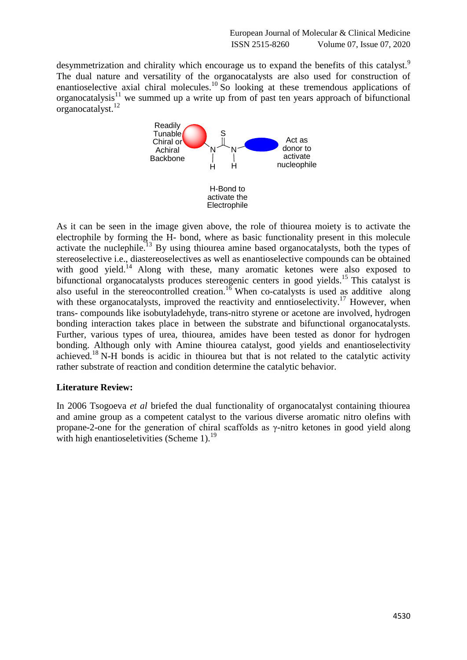desymmetrization and chirality which encourage us to expand the benefits of this catalyst.<sup>9</sup> The dual nature and versatility of the organocatalysts are also used for construction of enantioselective axial chiral molecules.<sup>10</sup> So looking at these tremendous applications of organocatalysis $11$  we summed up a write up from of past ten years approach of bifunctional organocatalyst.<sup>12</sup>



As it can be seen in the image given above, the role of thiourea moiety is to activate the electrophile by forming the H- bond, where as basic functionality present in this molecule activate the nuclephile.<sup>13</sup> By using thiourea amine based organocatalysts, both the types of stereoselective i.e., diastereoselectives as well as enantioselective compounds can be obtained with good yield.<sup>14</sup> Along with these, many aromatic ketones were also exposed to bifunctional organocatalysts produces stereogenic centers in good yields.<sup>15</sup> This catalyst is also useful in the stereocontrolled creation.<sup>16</sup> When co-catalysts is used as additive along with these organocatalysts, improved the reactivity and enntioselectivity.<sup>17</sup> However, when trans- compounds like isobutyladehyde, trans-nitro styrene or acetone are involved, hydrogen bonding interaction takes place in between the substrate and bifunctional organocatalysts. Further, various types of urea, thiourea, amides have been tested as donor for hydrogen bonding. Although only with Amine thiourea catalyst, good yields and enantioselectivity achieved.<sup>18</sup> N-H bonds is acidic in thiourea but that is not related to the catalytic activity rather substrate of reaction and condition determine the catalytic behavior.

# **Literature Review:**

In 2006 Tsogoeva *et al* briefed the dual functionality of organocatalyst containing thiourea and amine group as a competent catalyst to the various diverse aromatic nitro olefins with propane-2-one for the generation of chiral scaffolds as γ-nitro ketones in good yield along with high enantioseletivities (Scheme  $1$ ).<sup>19</sup>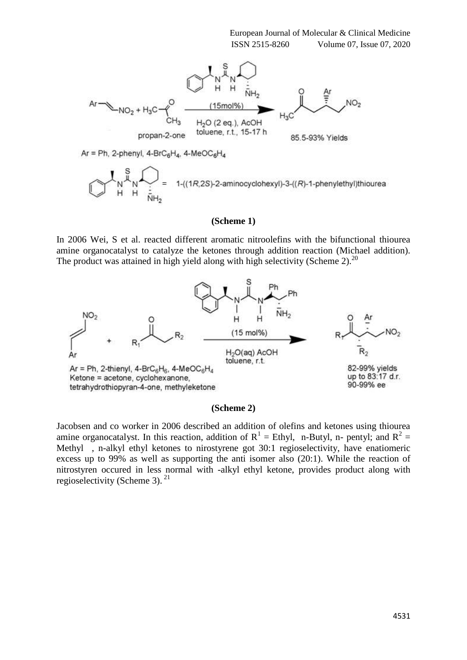

#### **(Scheme 1)**

In 2006 Wei, S et al. reacted different aromatic nitroolefins with the bifunctional thiourea amine organocatalyst to catalyze the ketones through addition reaction (Michael addition). The product was attained in high yield along with high selectivity (Scheme 2).<sup>20</sup>



# **(Scheme 2)**

Jacobsen and co worker in 2006 described an addition of olefins and ketones using thiourea amine organocatalyst. In this reaction, addition of  $R^1$  = Ethyl, n-Butyl, n- pentyl; and  $R^2$  = Methyl , n-alkyl ethyl ketones to nirostyrene got 30:1 regioselectivity, have enatiomeric excess up to 99% as well as supporting the anti isomer also (20:1). While the reaction of nitrostyren occured in less normal with -alkyl ethyl ketone, provides product along with regioselectivity (Scheme 3). <sup>21</sup>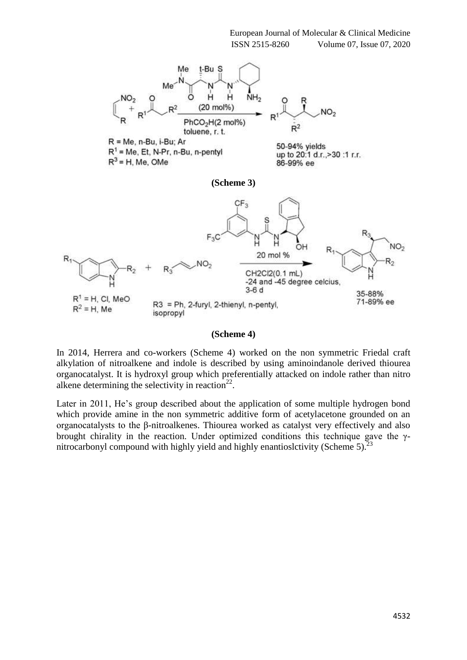

#### **(Scheme 4)**

In 2014, Herrera and co-workers (Scheme 4) worked on the non symmetric Friedal craft alkylation of nitroalkene and indole is described by using aminoindanole derived thiourea organocatalyst. It is hydroxyl group which preferentially attacked on indole rather than nitro alkene determining the selectivity in reaction $2^2$ .

Later in 2011, He's group described about the application of some multiple hydrogen bond which provide amine in the non symmetric additive form of acetylacetone grounded on an organocatalysts to the β-nitroalkenes. Thiourea worked as catalyst very effectively and also brought chirality in the reaction. Under optimized conditions this technique gave the γnitrocarbonyl compound with highly yield and highly enantioslctivity (Scheme 5). $^{2}$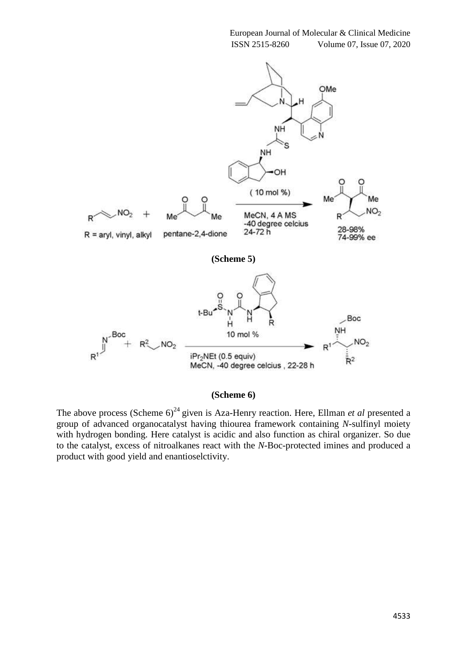

#### **(Scheme 6)**

The above process (Scheme 6)<sup>24</sup> given is Aza-Henry reaction. Here, Ellman *et al* presented a group of advanced organocatalyst having thiourea framework containing *N*-sulfinyl moiety with hydrogen bonding. Here catalyst is acidic and also function as chiral organizer. So due to the catalyst, excess of nitroalkanes react with the *N*-Boc-protected imines and produced a product with good yield and enantioselctivity.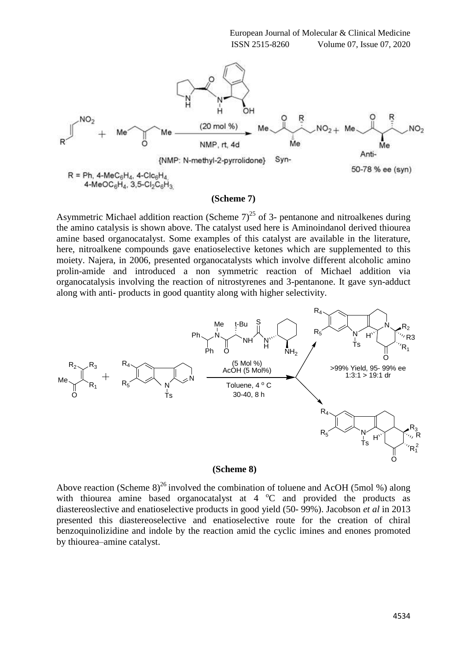

#### **(Scheme 7)**

Asymmetric Michael addition reaction (Scheme  $7)^{25}$  of 3- pentanone and nitroalkenes during the amino catalysis is shown above. The catalyst used here is Aminoindanol derived thiourea amine based organocatalyst. Some examples of this catalyst are available in the literature, here, nitroalkene compounds gave enatioselective ketones which are supplemented to this moiety. Najera, in 2006, presented organocatalysts which involve different alcoholic amino prolin-amide and introduced a non symmetric reaction of Michael addition via organocatalysis involving the reaction of nitrostyrenes and 3-pentanone. It gave syn-adduct along with anti- products in good quantity along with higher selectivity.



#### **(Scheme 8)**

Above reaction (Scheme 8)<sup>26</sup> involved the combination of toluene and AcOH (5mol %) along with thiourea amine based organocatalyst at  $4^{\circ}$ C and provided the products as diastereoslective and enatioselective products in good yield (50- 99%). Jacobson *et al* in 2013 presented this diastereoselective and enatioselective route for the creation of chiral benzoquinolizidine and indole by the reaction amid the cyclic imines and enones promoted by thiourea–amine catalyst.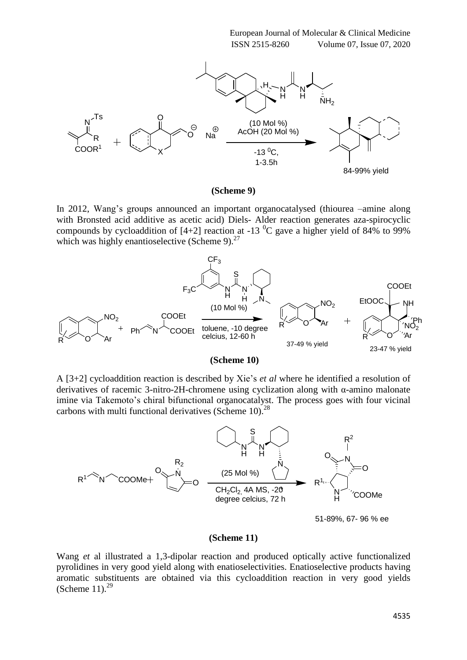

#### **(Scheme 9)**

In 2012, Wang's groups announced an important organocatalysed (thiourea –amine along with Bronsted acid additive as acetic acid) Diels- Alder reaction generates aza-spirocyclic compounds by cycloaddition of [4+2] reaction at -13  $^{0}$ C gave a higher yield of 84% to 99% which was highly enantioselective (Scheme 9). $27$ 





A [3+2] cycloaddition reaction is described by Xie's *et al* where he identified a resolution of derivatives of racemic 3-nitro-2H-chromene using cyclization along with α-amino malonate imine via Takemoto's chiral bifunctional organocatalyst. The process goes with four vicinal carbons with multi functional derivatives (Scheme 10).<sup>28</sup>



#### **(Scheme 11)**

Wang *et* al illustrated a 1,3-dipolar reaction and produced optically active functionalized pyrolidines in very good yield along with enatioselectivities. Enatioselective products having aromatic substituents are obtained via this cycloaddition reaction in very good yields (Scheme 11). $^{29}$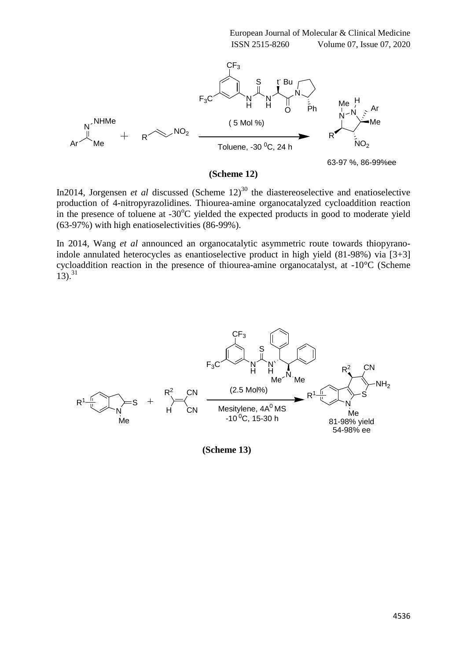

**(Scheme 12)**

63-97 %, 86-99%ee

In2014, Jorgensen *et al* discussed (Scheme  $12$ )<sup>30</sup> the diastereoselective and enatioselective production of 4-nitropyrazolidines. Thiourea-amine organocatalyzed cycloaddition reaction in the presence of toluene at  $-30^{\circ}$ C yielded the expected products in good to moderate yield (63-97%) with high enatioselectivities (86-99%).

In 2014, Wang *et al* announced an organocatalytic asymmetric route towards thiopyranoindole annulated heterocycles as enantioselective product in high yield (81-98%) via [3+3] cycloaddition reaction in the presence of thiourea-amine organocatalyst, at -10°C (Scheme  $13)$ .<sup>31</sup>



 **(Scheme 13)**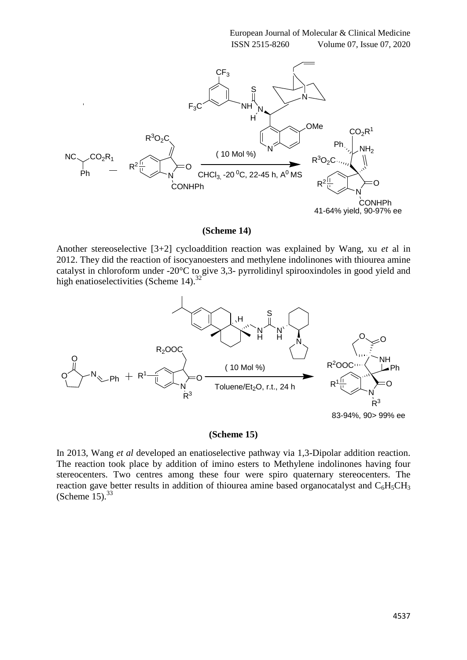

#### **(Scheme 14)**

Another stereoselective [3+2] cycloaddition reaction was explained by Wang, xu *et* al in 2012. They did the reaction of isocyanoesters and methylene indolinones with thiourea amine catalyst in chloroform under -20°C to give 3,3- pyrrolidinyl spirooxindoles in good yield and high enatioselectivities (Scheme 14).<sup>32</sup>



### **(Scheme 15)**

In 2013, Wang *et al* developed an enatioselective pathway via 1,3-Dipolar addition reaction. The reaction took place by addition of imino esters to Methylene indolinones having four stereocenters. Two centres among these four were spiro quaternary stereocenters. The reaction gave better results in addition of thiourea amine based organocatalyst and  $C_6H_5CH_3$ (Scheme  $15$ ).<sup>33</sup>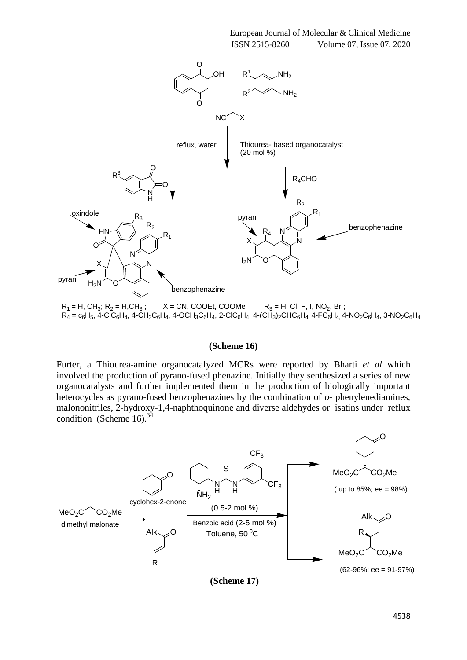

#### **(Scheme 16)**

Furter, a Thiourea-amine organocatalyzed MCRs were reported by Bharti *et al* which involved the production of pyrano-fused phenazine. Initially they senthesized a series of new organocatalysts and further implemented them in the production of biologically important heterocycles as pyrano-fused benzophenazines by the combination of *o*- phenylenediamines, malononitriles, 2-hydroxy-1,4-naphthoquinone and diverse aldehydes or isatins under reflux condition (Scheme 16).<sup>34</sup>



**(Scheme 17)**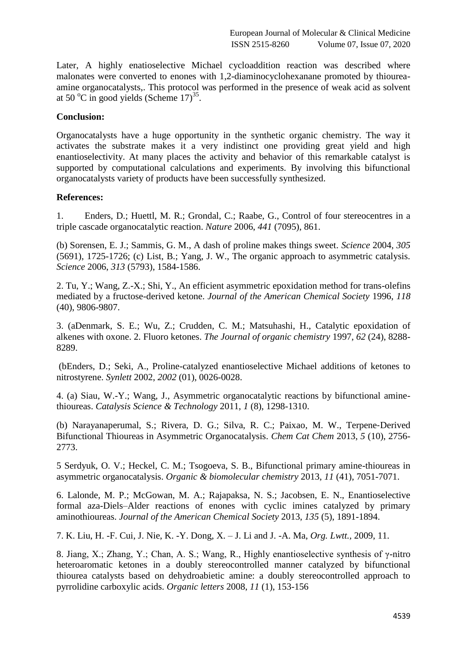Later, A highly enatioselective Michael cycloaddition reaction was described where malonates were converted to enones with 1,2-diaminocyclohexanane promoted by thioureaamine organocatalysts,. This protocol was performed in the presence of weak acid as solvent at 50  $^{\circ}$ C in good yields (Scheme 17)<sup>35</sup>.

# **Conclusion:**

Organocatalysts have a huge opportunity in the synthetic organic chemistry. The way it activates the substrate makes it a very indistinct one providing great yield and high enantioselectivity. At many places the activity and behavior of this remarkable catalyst is supported by computational calculations and experiments. By involving this bifunctional organocatalysts variety of products have been successfully synthesized.

# **References:**

1. Enders, D.; Huettl, M. R.; Grondal, C.; Raabe, G., Control of four stereocentres in a triple cascade organocatalytic reaction. *Nature* 2006, *441* (7095), 861.

(b) Sorensen, E. J.; Sammis, G. M., A dash of proline makes things sweet. *Science* 2004, *305* (5691), 1725-1726; (c) List, B.; Yang, J. W., The organic approach to asymmetric catalysis. *Science* 2006, *313* (5793), 1584-1586.

2. Tu, Y.; Wang, Z.-X.; Shi, Y., An efficient asymmetric epoxidation method for trans-olefins mediated by a fructose-derived ketone. *Journal of the American Chemical Society* 1996, *118* (40), 9806-9807.

3. (aDenmark, S. E.; Wu, Z.; Crudden, C. M.; Matsuhashi, H., Catalytic epoxidation of alkenes with oxone. 2. Fluoro ketones. *The Journal of organic chemistry* 1997, *62* (24), 8288- 8289.

(bEnders, D.; Seki, A., Proline-catalyzed enantioselective Michael additions of ketones to nitrostyrene. *Synlett* 2002, *2002* (01), 0026-0028.

4. (a) Siau, W.-Y.; Wang, J., Asymmetric organocatalytic reactions by bifunctional aminethioureas. *Catalysis Science & Technology* 2011, *1* (8), 1298-1310.

(b) Narayanaperumal, S.; Rivera, D. G.; Silva, R. C.; Paixao, M. W., Terpene‐Derived Bifunctional Thioureas in Asymmetric Organocatalysis. *Chem Cat Chem* 2013, *5* (10), 2756- 2773.

5 Serdyuk, O. V.; Heckel, C. M.; Tsogoeva, S. B., Bifunctional primary amine-thioureas in asymmetric organocatalysis. *Organic & biomolecular chemistry* 2013, *11* (41), 7051-7071.

6. Lalonde, M. P.; McGowan, M. A.; Rajapaksa, N. S.; Jacobsen, E. N., Enantioselective formal aza-Diels–Alder reactions of enones with cyclic imines catalyzed by primary aminothioureas. *Journal of the American Chemical Society* 2013, *135* (5), 1891-1894.

7. K. Liu, H. -F. Cui, J. Nie, K. -Y. Dong, X. – J. Li and J. -A. Ma, *Org. Lwtt.,* 2009, 11.

8. Jiang, X.; Zhang, Y.; Chan, A. S.; Wang, R., Highly enantioselective synthesis of γ-nitro heteroaromatic ketones in a doubly stereocontrolled manner catalyzed by bifunctional thiourea catalysts based on dehydroabietic amine: a doubly stereocontrolled approach to pyrrolidine carboxylic acids. *Organic letters* 2008, *11* (1), 153-156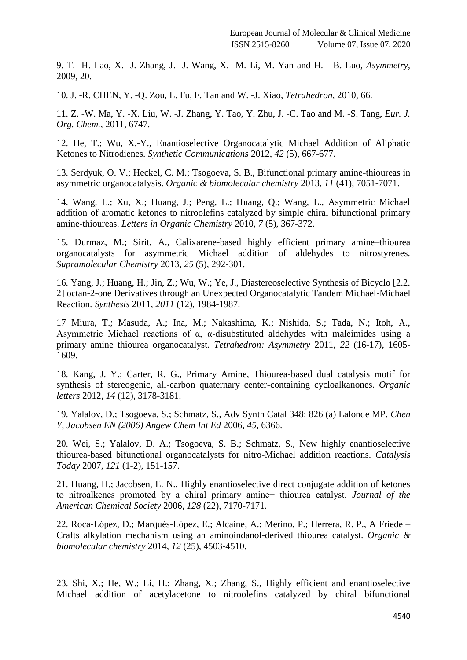9. T. -H. Lao, X. -J. Zhang, J. -J. Wang, X. -M. Li, M. Yan and H. - B. Luo, *Asymmetry,* 2009, 20.

10. J. -R. CHEN, Y. -Q. Zou, L. Fu, F. Tan and W. -J. Xiao, *Tetrahedron,* 2010, 66.

11. Z. -W. Ma, Y. -X. Liu, W. -J. Zhang, Y. Tao, Y. Zhu, J. -C. Tao and M. -S. Tang, *Eur. J. Org. Chem.,* 2011, 6747.

12. He, T.; Wu, X.-Y., Enantioselective Organocatalytic Michael Addition of Aliphatic Ketones to Nitrodienes. *Synthetic Communications* 2012, *42* (5), 667-677.

13. Serdyuk, O. V.; Heckel, C. M.; Tsogoeva, S. B., Bifunctional primary amine-thioureas in asymmetric organocatalysis. *Organic & biomolecular chemistry* 2013, *11* (41), 7051-7071.

14. Wang, L.; Xu, X.; Huang, J.; Peng, L.; Huang, Q.; Wang, L., Asymmetric Michael addition of aromatic ketones to nitroolefins catalyzed by simple chiral bifunctional primary amine-thioureas. *Letters in Organic Chemistry* 2010, *7* (5), 367-372.

15. Durmaz, M.; Sirit, A., Calixarene-based highly efficient primary amine–thiourea organocatalysts for asymmetric Michael addition of aldehydes to nitrostyrenes. *Supramolecular Chemistry* 2013, *25* (5), 292-301.

16. Yang, J.; Huang, H.; Jin, Z.; Wu, W.; Ye, J., Diastereoselective Synthesis of Bicyclo [2.2. 2] octan-2-one Derivatives through an Unexpected Organocatalytic Tandem Michael-Michael Reaction. *Synthesis* 2011, *2011* (12), 1984-1987.

17 Miura, T.; Masuda, A.; Ina, M.; Nakashima, K.; Nishida, S.; Tada, N.; Itoh, A., Asymmetric Michael reactions of α, α-disubstituted aldehydes with maleimides using a primary amine thiourea organocatalyst. *Tetrahedron: Asymmetry* 2011, *22* (16-17), 1605- 1609.

18. Kang, J. Y.; Carter, R. G., Primary Amine, Thiourea-based dual catalysis motif for synthesis of stereogenic, all-carbon quaternary center-containing cycloalkanones. *Organic letters* 2012, *14* (12), 3178-3181.

19. Yalalov, D.; Tsogoeva, S.; Schmatz, S., Adv Synth Catal 348: 826 (a) Lalonde MP. *Chen Y, Jacobsen EN (2006) Angew Chem Int Ed* 2006, *45*, 6366.

20. Wei, S.; Yalalov, D. A.; Tsogoeva, S. B.; Schmatz, S., New highly enantioselective thiourea-based bifunctional organocatalysts for nitro-Michael addition reactions. *Catalysis Today* 2007, *121* (1-2), 151-157.

21. Huang, H.; Jacobsen, E. N., Highly enantioselective direct conjugate addition of ketones to nitroalkenes promoted by a chiral primary amine− thiourea catalyst. *Journal of the American Chemical Society* 2006, *128* (22), 7170-7171.

22. Roca-López, D.; Marqués-López, E.; Alcaine, A.; Merino, P.; Herrera, R. P., A Friedel– Crafts alkylation mechanism using an aminoindanol-derived thiourea catalyst. *Organic & biomolecular chemistry* 2014, *12* (25), 4503-4510.

23. Shi, X.; He, W.; Li, H.; Zhang, X.; Zhang, S., Highly efficient and enantioselective Michael addition of acetylacetone to nitroolefins catalyzed by chiral bifunctional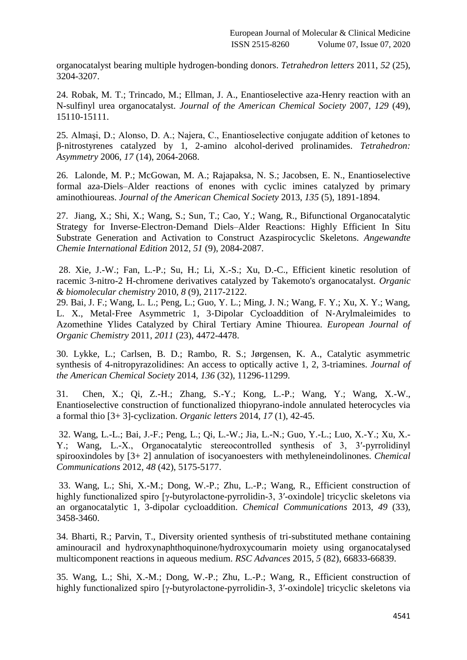organocatalyst bearing multiple hydrogen-bonding donors. *Tetrahedron letters* 2011, *52* (25), 3204-3207.

24. Robak, M. T.; Trincado, M.; Ellman, J. A., Enantioselective aza-Henry reaction with an N-sulfinyl urea organocatalyst. *Journal of the American Chemical Society* 2007, *129* (49), 15110-15111.

25. Almaşi, D.; Alonso, D. A.; Najera, C., Enantioselective conjugate addition of ketones to β-nitrostyrenes catalyzed by 1, 2-amino alcohol-derived prolinamides. *Tetrahedron: Asymmetry* 2006, *17* (14), 2064-2068.

26. Lalonde, M. P.; McGowan, M. A.; Rajapaksa, N. S.; Jacobsen, E. N., Enantioselective formal aza-Diels–Alder reactions of enones with cyclic imines catalyzed by primary aminothioureas. *Journal of the American Chemical Society* 2013, *135* (5), 1891-1894.

27. Jiang, X.; Shi, X.; Wang, S.; Sun, T.; Cao, Y.; Wang, R., Bifunctional Organocatalytic Strategy for Inverse‐Electron‐Demand Diels–Alder Reactions: Highly Efficient In Situ Substrate Generation and Activation to Construct Azaspirocyclic Skeletons. *Angewandte Chemie International Edition* 2012, *51* (9), 2084-2087.

28. Xie, J.-W.; Fan, L.-P.; Su, H.; Li, X.-S.; Xu, D.-C., Efficient kinetic resolution of racemic 3-nitro-2 H-chromene derivatives catalyzed by Takemoto's organocatalyst. *Organic & biomolecular chemistry* 2010, *8* (9), 2117-2122.

29. Bai, J. F.; Wang, L. L.; Peng, L.; Guo, Y. L.; Ming, J. N.; Wang, F. Y.; Xu, X. Y.; Wang, L. X., Metal‐Free Asymmetric 1, 3‐Dipolar Cycloaddition of N‐Arylmaleimides to Azomethine Ylides Catalyzed by Chiral Tertiary Amine Thiourea. *European Journal of Organic Chemistry* 2011, *2011* (23), 4472-4478.

30. Lykke, L.; Carlsen, B. D.; Rambo, R. S.; Jørgensen, K. A., Catalytic asymmetric synthesis of 4-nitropyrazolidines: An access to optically active 1, 2, 3-triamines. *Journal of the American Chemical Society* 2014, *136* (32), 11296-11299.

31. Chen, X.; Qi, Z.-H.; Zhang, S.-Y.; Kong, L.-P.; Wang, Y.; Wang, X.-W., Enantioselective construction of functionalized thiopyrano-indole annulated heterocycles via a formal thio [3+ 3]-cyclization. *Organic letters* 2014, *17* (1), 42-45.

32. Wang, L.-L.; Bai, J.-F.; Peng, L.; Qi, L.-W.; Jia, L.-N.; Guo, Y.-L.; Luo, X.-Y.; Xu, X.- Y.; Wang, L.-X., Organocatalytic stereocontrolled synthesis of 3, 3′-pyrrolidinyl spirooxindoles by [3+ 2] annulation of isocyanoesters with methyleneindolinones. *Chemical Communications* 2012, *48* (42), 5175-5177.

33. Wang, L.; Shi, X.-M.; Dong, W.-P.; Zhu, L.-P.; Wang, R., Efficient construction of highly functionalized spiro [γ-butyrolactone-pyrrolidin-3, 3′-oxindole] tricyclic skeletons via an organocatalytic 1, 3-dipolar cycloaddition. *Chemical Communications* 2013, *49* (33), 3458-3460.

34. Bharti, R.; Parvin, T., Diversity oriented synthesis of tri-substituted methane containing aminouracil and hydroxynaphthoquinone/hydroxycoumarin moiety using organocatalysed multicomponent reactions in aqueous medium. *RSC Advances* 2015, *5* (82), 66833-66839.

35. Wang, L.; Shi, X.-M.; Dong, W.-P.; Zhu, L.-P.; Wang, R., Efficient construction of highly functionalized spiro [γ-butyrolactone-pyrrolidin-3, 3′-oxindole] tricyclic skeletons via